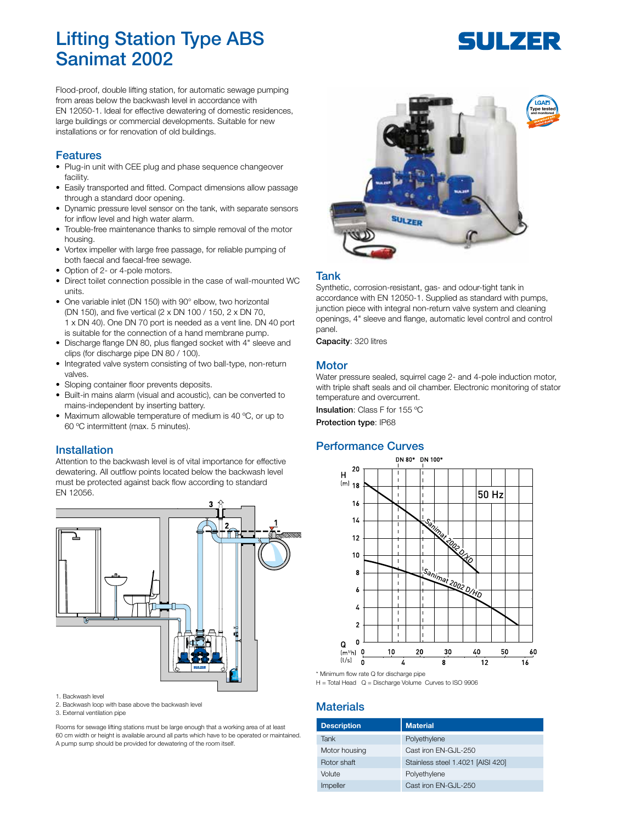# Lifting Station Type ABS Sanimat 2002

#### Flood-proof, double lifting station, for automatic sewage pumping from areas below the backwash level in accordance with EN 12050-1. Ideal for effective dewatering of domestic residences, large buildings or commercial developments. Suitable for new installations or for renovation of old buildings.

#### Features

- Plug-in unit with CEE plug and phase sequence changeover facility.
- Easily transported and fitted. Compact dimensions allow passage through a standard door opening.
- Dynamic pressure level sensor on the tank, with separate sensors for inflow level and high water alarm.
- Trouble-free maintenance thanks to simple removal of the motor housing.
- Vortex impeller with large free passage, for reliable pumping of both faecal and faecal-free sewage.
- Option of 2- or 4-pole motors.
- Direct toilet connection possible in the case of wall-mounted WC units.
- One variable inlet (DN 150) with 90° elbow, two horizontal (DN 150), and five vertical (2 x DN 100 / 150, 2 x DN 70, 1 x DN 40). One DN 70 port is needed as a vent line. DN 40 port is suitable for the connection of a hand membrane pump.
- Discharge flange DN 80, plus flanged socket with 4" sleeve and clips (for discharge pipe DN 80 / 100).
- Integrated valve system consisting of two ball-type, non-return valves.
- Sloping container floor prevents deposits.
- Built-in mains alarm (visual and acoustic), can be converted to mains-independent by inserting battery.
- Maximum allowable temperature of medium is 40 °C, or up to 60 ºC intermittent (max. 5 minutes).

#### Installation

Attention to the backwash level is of vital importance for effective dewatering. All outflow points located below the backwash level must be protected against back flow according to standard EN 12056.



#### 1. Backwash level

- 2. Backwash loop with base above the backwash level
- 3. External ventilation pipe

Rooms for sewage lifting stations must be large enough that a working area of at least 60 cm width or height is available around all parts which have to be operated or maintained. A pump sump should be provided for dewatering of the room itself.



#### Tank

Synthetic, corrosion-resistant, gas- and odour-tight tank in accordance with EN 12050-1. Supplied as standard with pumps, junction piece with integral non-return valve system and cleaning openings, 4" sleeve and flange, automatic level control and control panel.

Capacity: 320 litres

#### **Motor**

Water pressure sealed, squirrel cage 2- and 4-pole induction motor, with triple shaft seals and oil chamber. Electronic monitoring of stator temperature and overcurrent.

Insulation: Class F for 155 °C

Protection type: IP68

### Performance Curves



\* Minimum flow rate Q for discharge pipe

 $H =$  Total Head  $Q =$  Discharge Volume Curves to ISO 9906

### **Materials**

| <b>Description</b> | <b>Material</b>                   |
|--------------------|-----------------------------------|
| Tank               | Polyethylene                      |
| Motor housing      | Cast iron EN-GJL-250              |
| Rotor shaft        | Stainless steel 1.4021 [AISI 420] |
| Volute             | Polyethylene                      |
| Impeller           | Cast iron EN-GJL-250              |